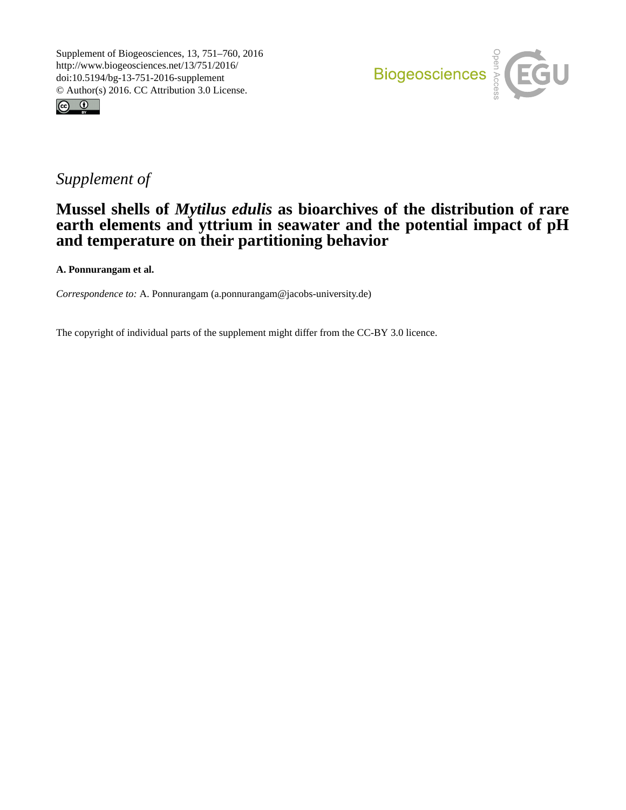



## *Supplement of*

## **Mussel shells of** *Mytilus edulis* **as bioarchives of the distribution of rare earth elements and yttrium in seawater and the potential impact of pH and temperature on their partitioning behavior**

**A. Ponnurangam et al.**

*Correspondence to:* A. Ponnurangam (a.ponnurangam@jacobs-university.de)

The copyright of individual parts of the supplement might differ from the CC-BY 3.0 licence.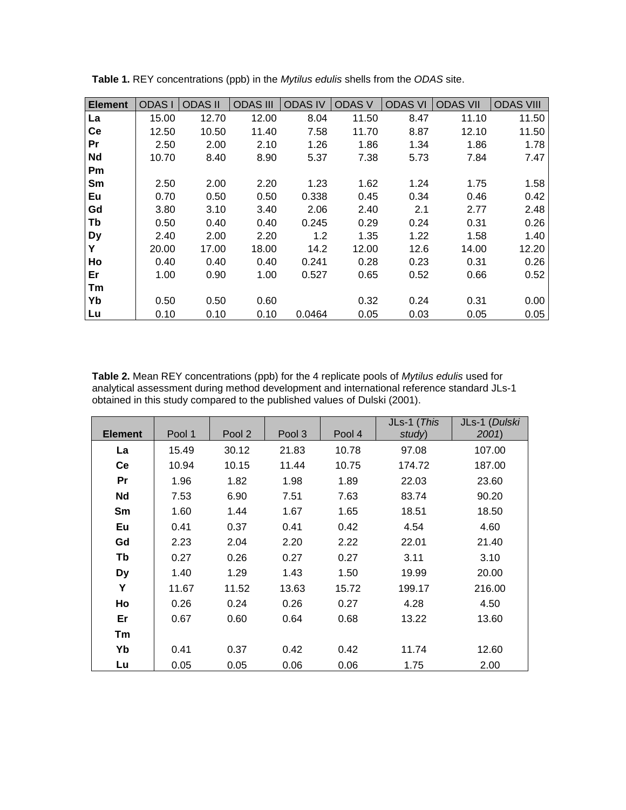| <b>Element</b> | <b>ODASI</b> | <b>ODAS II</b> | <b>ODAS III</b> | <b>ODAS IV</b> | <b>ODAS V</b> | <b>ODAS VI</b> | <b>ODAS VII</b> | <b>ODAS VIII</b> |
|----------------|--------------|----------------|-----------------|----------------|---------------|----------------|-----------------|------------------|
| La             | 15.00        | 12.70          | 12.00           | 8.04           | 11.50         | 8.47           | 11.10           | 11.50            |
| Ce             | 12.50        | 10.50          | 11.40           | 7.58           | 11.70         | 8.87           | 12.10           | 11.50            |
| Pr             | 2.50         | 2.00           | 2.10            | 1.26           | 1.86          | 1.34           | 1.86            | 1.78             |
| <b>Nd</b>      | 10.70        | 8.40           | 8.90            | 5.37           | 7.38          | 5.73           | 7.84            | 7.47             |
| Pm             |              |                |                 |                |               |                |                 |                  |
| Sm             | 2.50         | 2.00           | 2.20            | 1.23           | 1.62          | 1.24           | 1.75            | 1.58             |
| Eu             | 0.70         | 0.50           | 0.50            | 0.338          | 0.45          | 0.34           | 0.46            | 0.42             |
| Gd             | 3.80         | 3.10           | 3.40            | 2.06           | 2.40          | 2.1            | 2.77            | 2.48             |
| Tb             | 0.50         | 0.40           | 0.40            | 0.245          | 0.29          | 0.24           | 0.31            | 0.26             |
| <b>Dy</b>      | 2.40         | 2.00           | 2.20            | 1.2            | 1.35          | 1.22           | 1.58            | 1.40             |
| Y              | 20.00        | 17.00          | 18.00           | 14.2           | 12.00         | 12.6           | 14.00           | 12.20            |
| Ho             | 0.40         | 0.40           | 0.40            | 0.241          | 0.28          | 0.23           | 0.31            | 0.26             |
| Er             | 1.00         | 0.90           | 1.00            | 0.527          | 0.65          | 0.52           | 0.66            | 0.52             |
| Tm             |              |                |                 |                |               |                |                 |                  |
| Yb             | 0.50         | 0.50           | 0.60            |                | 0.32          | 0.24           | 0.31            | 0.00             |
| Lu             | 0.10         | 0.10           | 0.10            | 0.0464         | 0.05          | 0.03           | 0.05            | 0.05             |

**Table 1.** REY concentrations (ppb) in the *Mytilus edulis* shells from the *ODAS* site.

**Table 2.** Mean REY concentrations (ppb) for the 4 replicate pools of *Mytilus edulis* used for analytical assessment during method development and international reference standard JLs-1 obtained in this study compared to the published values of Dulski (2001).

|                |        |        |        |        | JLs-1 (This | JLs-1 (Dulski |
|----------------|--------|--------|--------|--------|-------------|---------------|
| <b>Element</b> | Pool 1 | Pool 2 | Pool 3 | Pool 4 | study)      | 2001)         |
| La             | 15.49  | 30.12  | 21.83  | 10.78  | 97.08       | 107.00        |
| Ce             | 10.94  | 10.15  | 11.44  | 10.75  | 174.72      | 187.00        |
| Pr             | 1.96   | 1.82   | 1.98   | 1.89   | 22.03       | 23.60         |
| <b>Nd</b>      | 7.53   | 6.90   | 7.51   | 7.63   | 83.74       | 90.20         |
| Sm             | 1.60   | 1.44   | 1.67   | 1.65   | 18.51       | 18.50         |
| Eu             | 0.41   | 0.37   | 0.41   | 0.42   | 4.54        | 4.60          |
| Gd             | 2.23   | 2.04   | 2.20   | 2.22   | 22.01       | 21.40         |
| Tb             | 0.27   | 0.26   | 0.27   | 0.27   | 3.11        | 3.10          |
| <b>Dy</b>      | 1.40   | 1.29   | 1.43   | 1.50   | 19.99       | 20.00         |
| Υ              | 11.67  | 11.52  | 13.63  | 15.72  | 199.17      | 216.00        |
| Ho             | 0.26   | 0.24   | 0.26   | 0.27   | 4.28        | 4.50          |
| Er             | 0.67   | 0.60   | 0.64   | 0.68   | 13.22       | 13.60         |
| Tm             |        |        |        |        |             |               |
| Yb             | 0.41   | 0.37   | 0.42   | 0.42   | 11.74       | 12.60         |
| Lu             | 0.05   | 0.05   | 0.06   | 0.06   | 1.75        | 2.00          |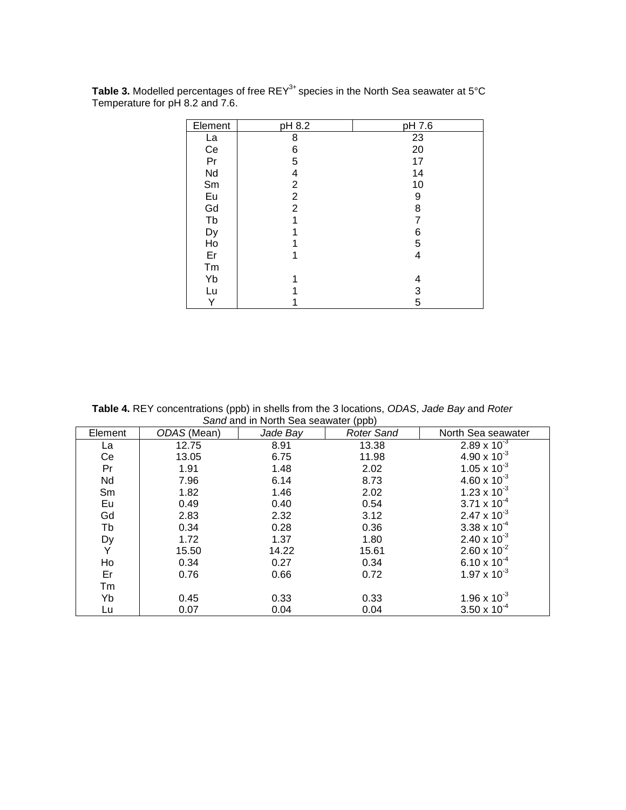| Element | pH 8.2         | pH 7.6 |
|---------|----------------|--------|
| La      | 8              | 23     |
| Ce      | 6              | 20     |
| Pr      | 5              | 17     |
| Nd      | 4              | 14     |
| Sm      | $\overline{2}$ | 10     |
| Eu      | $\overline{2}$ | 9      |
| Gd      | 2              | 8      |
| Tb      | 1              | 7      |
| Dy      |                | 6      |
| Ho      |                | 5      |
| Er      |                | 4      |
| Tm      |                |        |
| Yb      |                | 4      |
| Lu      |                | 3      |
| Y       |                | 5      |

Table 3. Modelled percentages of free REY<sup>3+</sup> species in the North Sea seawater at 5°C Temperature for pH 8.2 and 7.6.

**Table 4.** REY concentrations (ppb) in shells from the 3 locations, *ODAS*, *Jade Bay* and *Roter Sand* and in North Sea seawater (ppb)

| Element | ODAS (Mean) | Jade Bay | $\mathbf{u}$<br><b>Roter Sand</b> | North Sea seawater    |
|---------|-------------|----------|-----------------------------------|-----------------------|
| La      | 12.75       | 8.91     | 13.38                             | $2.89 \times 10^{-3}$ |
| Сe      | 13.05       | 6.75     | 11.98                             | $4.90 \times 10^{-3}$ |
| Pr      | 1.91        | 1.48     | 2.02                              | $1.05 \times 10^{-3}$ |
| Nd      | 7.96        | 6.14     | 8.73                              | $4.60 \times 10^{-3}$ |
| Sm      | 1.82        | 1.46     | 2.02                              | $1.23 \times 10^{-3}$ |
| Eu      | 0.49        | 0.40     | 0.54                              | $3.71 \times 10^{-4}$ |
| Gd      | 2.83        | 2.32     | 3.12                              | $2.47 \times 10^{-3}$ |
| Tb      | 0.34        | 0.28     | 0.36                              | $3.38 \times 10^{-4}$ |
| Dy<br>Y | 1.72        | 1.37     | 1.80                              | $2.40 \times 10^{-3}$ |
|         | 15.50       | 14.22    | 15.61                             | $2.60 \times 10^{-2}$ |
| Ho      | 0.34        | 0.27     | 0.34                              | $6.10 \times 10^{-4}$ |
| Er      | 0.76        | 0.66     | 0.72                              | $1.97 \times 10^{-3}$ |
| Tm      |             |          |                                   |                       |
| Yb      | 0.45        | 0.33     | 0.33                              | 1.96 x $10^{-3}$      |
| Lu      | 0.07        | 0.04     | 0.04                              | $3.50 \times 10^{-4}$ |